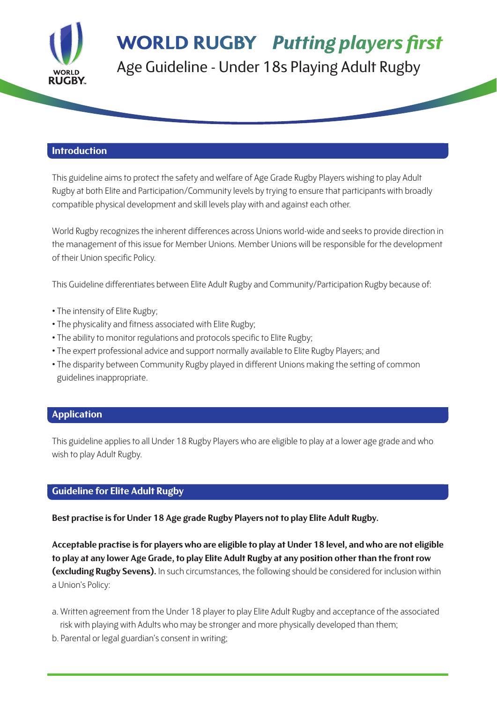

### **WORLD RUGBY Putting players first** Age Guideline - Under 18s Playing Adult Rugby

#### **Introduction**

This guideline aims to protect the safety and welfare of Age Grade Rugby Players wishing to play Adult Rugby at both Elite and Participation/Community levels by trying to ensure that participants with broadly compatible physical development and skill levels play with and against each other.

World Rugby recognizes the inherent differences across Unions world-wide and seeks to provide direction in the management of this issue for Member Unions. Member Unions will be responsible for the development of their Union specific Policy.

This Guideline differentiates between Elite Adult Rugby and Community/Participation Rugby because of:

- The intensity of Elite Rugby;
- The physicality and fitness associated with Elite Rugby;
- The ability to monitor regulations and protocols specific to Elite Rugby;
- The expert professional advice and support normally available to Elite Rugby Players; and
- The disparity between Community Rugby played in different Unions making the setting of common guidelines inappropriate.

### **Application**

This guideline applies to all Under 18 Rugby Players who are eligible to play at a lower age grade and who wish to play Adult Rugby.

### **Guideline for Elite Adult Rugby**

**Best practise is for Under 18 Age grade Rugby Players not to play Elite Adult Rugby.**

**Acceptable practise is for players who are eligible to play at Under 18 level, and who are not eligible to play at any lower Age Grade, to play Elite Adult Rugby at any position other than the front row (excluding Rugby Sevens).** In such circumstances, the following should be considered for inclusion within a Union's Policy:

- a. Written agreement from the Under 18 player to play Elite Adult Rugby and acceptance of the associated risk with playing with Adults who may be stronger and more physically developed than them;
- b. Parental or legal guardian's consent in writing;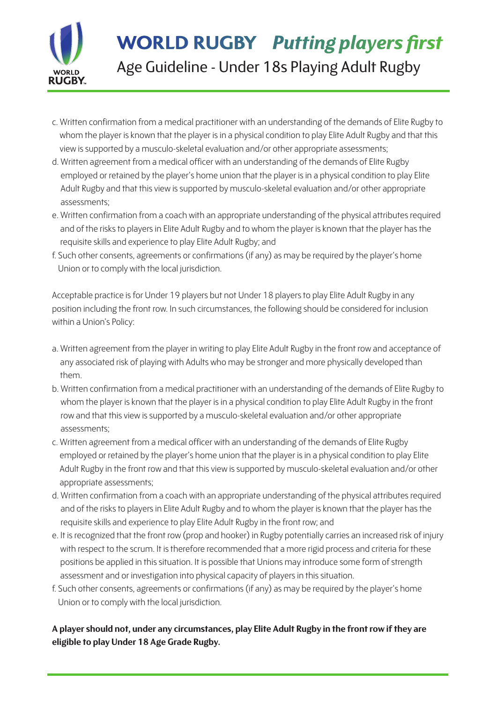

# **WORLD RUGBY Putting players first**

Age Guideline - Under 18s Playing Adult Rugby

- c. Written confirmation from a medical practitioner with an understanding of the demands of Elite Rugby to whom the player is known that the player is in a physical condition to play Elite Adult Rugby and that this view is supported by a musculo-skeletal evaluation and/or other appropriate assessments;
- d. Written agreement from a medical officer with an understanding of the demands of Elite Rugby employed or retained by the player's home union that the player is in a physical condition to play Elite Adult Rugby and that this view is supported by musculo-skeletal evaluation and/or other appropriate assessments;
- e. Written confirmation from a coach with an appropriate understanding of the physical attributes required and of the risks to players in Elite Adult Rugby and to whom the player is known that the player has the requisite skills and experience to play Elite Adult Rugby; and
- f. Such other consents, agreements or confirmations (if any) as may be required by the player's home Union or to comply with the local jurisdiction.

Acceptable practice is for Under 19 players but not Under 18 players to play Elite Adult Rugby in any position including the front row. In such circumstances, the following should be considered for inclusion within a Union's Policy:

- a. Written agreement from the player in writing to play Elite Adult Rugby in the front row and acceptance of any associated risk of playing with Adults who may be stronger and more physically developed than them.
- b. Written confirmation from a medical practitioner with an understanding of the demands of Elite Rugby to whom the player is known that the player is in a physical condition to play Elite Adult Rugby in the front row and that this view is supported by a musculo-skeletal evaluation and/or other appropriate assessments;
- c. Written agreement from a medical officer with an understanding of the demands of Elite Rugby employed or retained by the player's home union that the player is in a physical condition to play Elite Adult Rugby in the front row and that this view is supported by musculo-skeletal evaluation and/or other appropriate assessments;
- d. Written confirmation from a coach with an appropriate understanding of the physical attributes required and of the risks to players in Elite Adult Rugby and to whom the player is known that the player has the requisite skills and experience to play Elite Adult Rugby in the front row; and
- e. It is recognized that the front row (prop and hooker) in Rugby potentially carries an increased risk of injury with respect to the scrum. It is therefore recommended that a more rigid process and criteria for these positions be applied in this situation. It is possible that Unions may introduce some form of strength assessment and or investigation into physical capacity of players in this situation.
- f. Such other consents, agreements or confirmations (if any) as may be required by the player's home Union or to comply with the local jurisdiction.

### **A player should not, under any circumstances, play Elite Adult Rugby in the front row if they are eligible to play Under 18 Age Grade Rugby.**